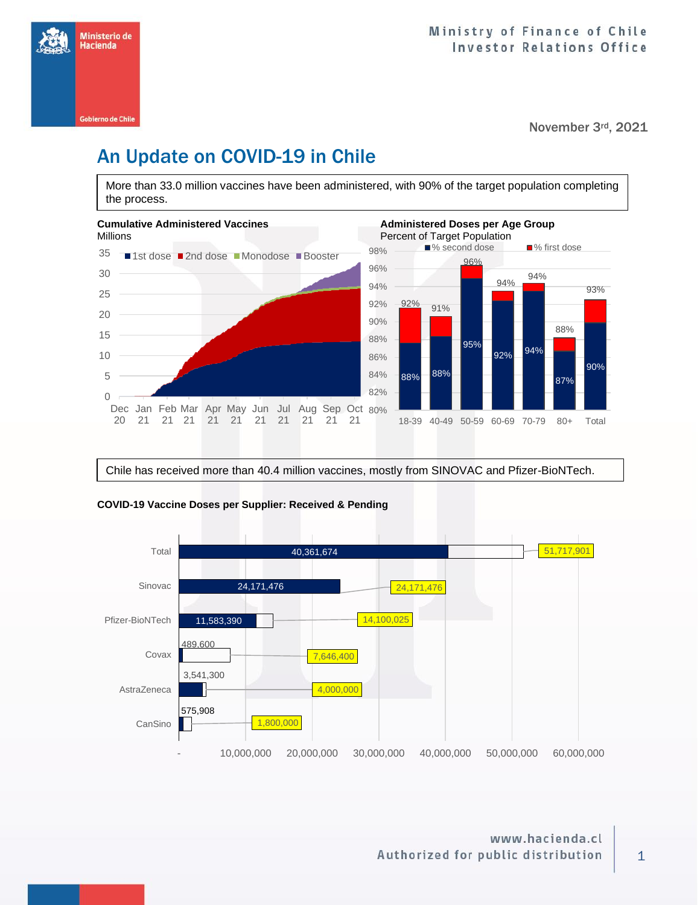

#### November 3rd, 2021

# An Update on COVID-19 in Chile

More than 33.0 million vaccines have been administered, with 90% of the target population completing the process.



Chile has received more than 40.4 million vaccines, mostly from SINOVAC and Pfizer-BioNTech.



#### **COVID-19 Vaccine Doses per Supplier: Received & Pending**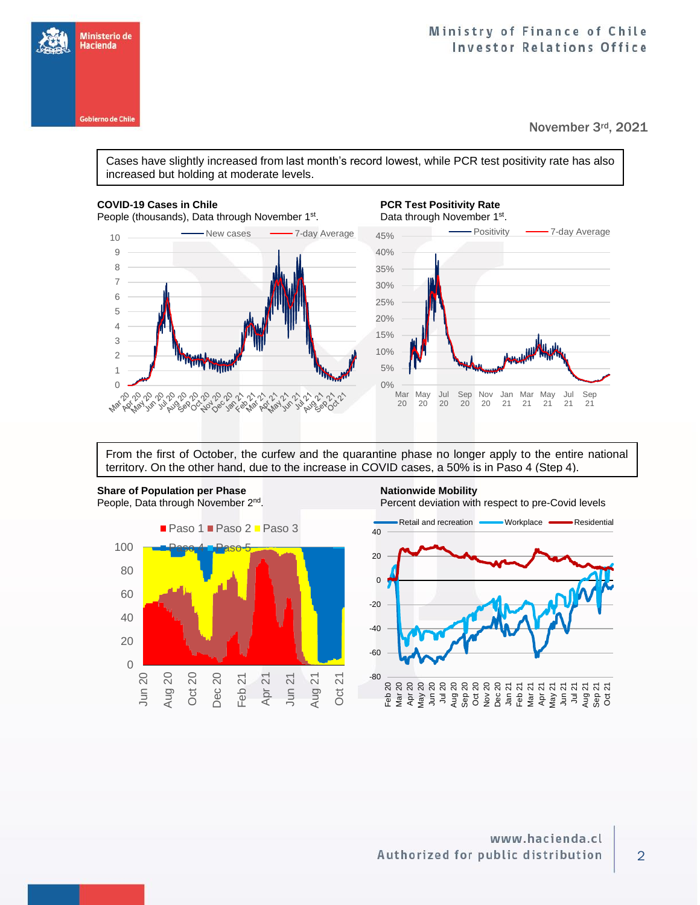### Ministry of Finance of Chile **Investor Relations Office**

November 3rd, 2021

Cases have slightly increased from last month's record lowest, while PCR test positivity rate has also increased but holding at moderate levels.

Ministerio de Hacienda

**Gobierno de Chile** 

People (thousands), Data through November 1<sup>st</sup>



## **COVID-19 Cases in Chile PCR Test Positivity Rate**



From the first of October, the curfew and the quarantine phase no longer apply to the entire national territory. On the other hand, due to the increase in COVID cases, a 50% is in Paso 4 (Step 4).